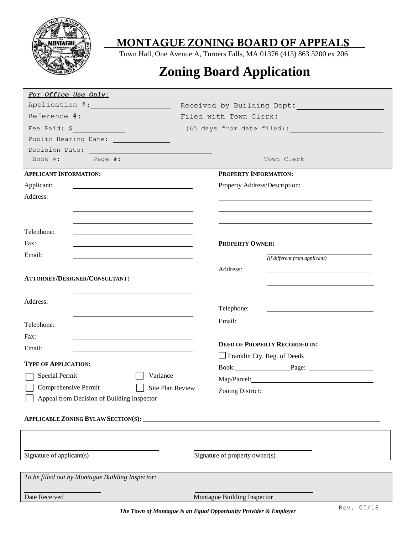

Town Hall, One Avenue A, Turners Falls, MA 01376 (413) 863 3200 ex 206

# **Zoning Board Application**

| For Office Use Only:                                                                                                                                                                                                          |                                                                                                                                                                                                                               |  |
|-------------------------------------------------------------------------------------------------------------------------------------------------------------------------------------------------------------------------------|-------------------------------------------------------------------------------------------------------------------------------------------------------------------------------------------------------------------------------|--|
| Application #:                                                                                                                                                                                                                | Received by Building Dept: 1988                                                                                                                                                                                               |  |
|                                                                                                                                                                                                                               | Filed with Town Clerk:                                                                                                                                                                                                        |  |
| Fee Paid: \$                                                                                                                                                                                                                  | (65 days from date filed):                                                                                                                                                                                                    |  |
| Public Hearing Date:                                                                                                                                                                                                          |                                                                                                                                                                                                                               |  |
| Decision Date: New York State State State State State State State State State State State State State State State State State State State State State State State State State State State State State State State State State |                                                                                                                                                                                                                               |  |
| Book #: $\qquad \qquad$ Page #:                                                                                                                                                                                               | Town Clerk                                                                                                                                                                                                                    |  |
| <b>APPLICANT INFORMATION:</b>                                                                                                                                                                                                 | PROPERTY INFORMATION:                                                                                                                                                                                                         |  |
| Applicant:                                                                                                                                                                                                                    | Property Address/Description:                                                                                                                                                                                                 |  |
| Address:                                                                                                                                                                                                                      |                                                                                                                                                                                                                               |  |
|                                                                                                                                                                                                                               |                                                                                                                                                                                                                               |  |
|                                                                                                                                                                                                                               |                                                                                                                                                                                                                               |  |
| Telephone:                                                                                                                                                                                                                    |                                                                                                                                                                                                                               |  |
| Fax:                                                                                                                                                                                                                          | <b>PROPERTY OWNER:</b>                                                                                                                                                                                                        |  |
| Email:                                                                                                                                                                                                                        |                                                                                                                                                                                                                               |  |
|                                                                                                                                                                                                                               | (if different from applicant)                                                                                                                                                                                                 |  |
| ATTORNEY/DESIGNER/CONSULTANT:                                                                                                                                                                                                 | Address:                                                                                                                                                                                                                      |  |
|                                                                                                                                                                                                                               |                                                                                                                                                                                                                               |  |
|                                                                                                                                                                                                                               | <u> 1989 - Johann Stein, mars an de Frankrik (f. 1989)</u>                                                                                                                                                                    |  |
| Address:                                                                                                                                                                                                                      | Telephone:<br>the contract of the contract of the contract of the contract of the contract of                                                                                                                                 |  |
|                                                                                                                                                                                                                               | Email:                                                                                                                                                                                                                        |  |
| Telephone:                                                                                                                                                                                                                    |                                                                                                                                                                                                                               |  |
| Fax:                                                                                                                                                                                                                          | <b>DEED OF PROPERTY RECORDED IN:</b>                                                                                                                                                                                          |  |
| Email:                                                                                                                                                                                                                        | Franklin Cty. Reg. of Deeds                                                                                                                                                                                                   |  |
| <b>TYPE OF APPLICATION:</b>                                                                                                                                                                                                   |                                                                                                                                                                                                                               |  |
| Variance<br>Special Permit                                                                                                                                                                                                    | Book: Page: Page:                                                                                                                                                                                                             |  |
| Comprehensive Permit<br><b>Site Plan Review</b>                                                                                                                                                                               | Map/Parcel: Map Alexander Map Alexander Map Alexander Map Alexander Map Alexander Map Alexander Map Alexander Map Alexander Map Alexander Map Alexander Map Alexander Map Alexander Map Alexander Map Alexander Map Alexander |  |
| Appeal from Decision of Building Inspector                                                                                                                                                                                    | Zoning District:                                                                                                                                                                                                              |  |
|                                                                                                                                                                                                                               |                                                                                                                                                                                                                               |  |
| APPLICABLE ZONING BYLAW SECTION(S):                                                                                                                                                                                           |                                                                                                                                                                                                                               |  |
|                                                                                                                                                                                                                               |                                                                                                                                                                                                                               |  |
|                                                                                                                                                                                                                               |                                                                                                                                                                                                                               |  |
| Signature of applicant(s)                                                                                                                                                                                                     | Signature of property owner(s)                                                                                                                                                                                                |  |
|                                                                                                                                                                                                                               |                                                                                                                                                                                                                               |  |
| To be filled out by Montague Building Inspector:                                                                                                                                                                              |                                                                                                                                                                                                                               |  |
|                                                                                                                                                                                                                               |                                                                                                                                                                                                                               |  |
| Date Received                                                                                                                                                                                                                 | Montague Building Inspector                                                                                                                                                                                                   |  |

*The Town of Montague is an Equal Opportunity Provider & Employer*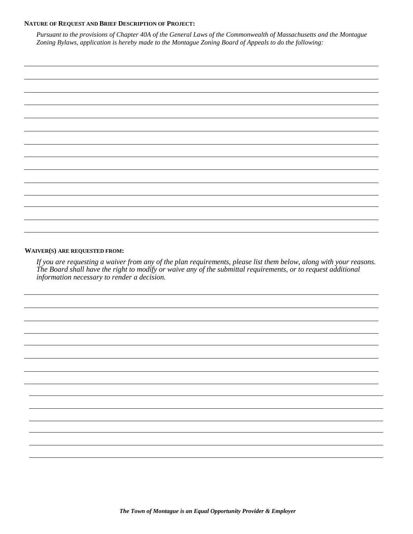#### **NATURE OF REQUEST AND BRIEF DESCRIPTION OF PROJECT:**

*Pursuant to the provisions of Chapter 40A of the General Laws of the Commonwealth of Massachusetts and the Montague Zoning Bylaws, application is hereby made to the Montague Zoning Board of Appeals to do the following:*

|  | $\overline{\phantom{0}}$ |
|--|--------------------------|
|  |                          |
|  |                          |
|  |                          |
|  |                          |
|  |                          |
|  |                          |

#### **WAIVER(S) ARE REQUESTED FROM:**

*If you are requesting a waiver from any of the plan requirements, please list them below, along with your reasons. The Board shall have the right to modify or waive any of the submittal requirements, or to request additional information necessary to render a decision.*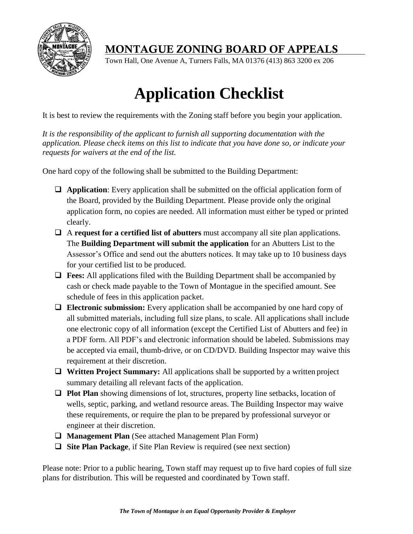

Town Hall, One Avenue A, Turners Falls, MA 01376 (413) 863 3200 ex 206

# **Application Checklist**

It is best to review the requirements with the Zoning staff before you begin your application.

*It is the responsibility of the applicant to furnish all supporting documentation with the application. Please check items on this list to indicate that you have done so, or indicate your requests for waivers at the end of the list.*

One hard copy of the following shall be submitted to the Building Department:

- **Application**: Every application shall be submitted on the official application form of the Board, provided by the Building Department. Please provide only the original application form, no copies are needed. All information must either be typed or printed clearly.
- A **request for a certified list of abutters** must accompany all site plan applications. The **Building Department will submit the application** for an Abutters List to the Assessor's Office and send out the abutters notices. It may take up to 10 business days for your certified list to be produced.
- **Fees:** All applications filed with the Building Department shall be accompanied by cash or check made payable to the Town of Montague in the specified amount. See schedule of fees in this application packet.
- **Electronic submission:** Every application shall be accompanied by one hard copy of all submitted materials, including full size plans, to scale. All applications shall include one electronic copy of all information (except the Certified List of Abutters and fee) in a PDF form. All PDF's and electronic information should be labeled. Submissions may be accepted via email, thumb-drive, or on CD/DVD. Building Inspector may waive this requirement at their discretion.
- **Written Project Summary:** All applications shall be supported by a written project summary detailing all relevant facts of the application.
- **Plot Plan** showing dimensions of lot, structures, property line setbacks, location of wells, septic, parking, and wetland resource areas. The Building Inspector may waive these requirements, or require the plan to be prepared by professional surveyor or engineer at their discretion.
- **Management Plan** (See attached Management Plan Form)
- **Site Plan Package**, if Site Plan Review is required (see next section)

Please note: Prior to a public hearing, Town staff may request up to five hard copies of full size plans for distribution. This will be requested and coordinated by Town staff.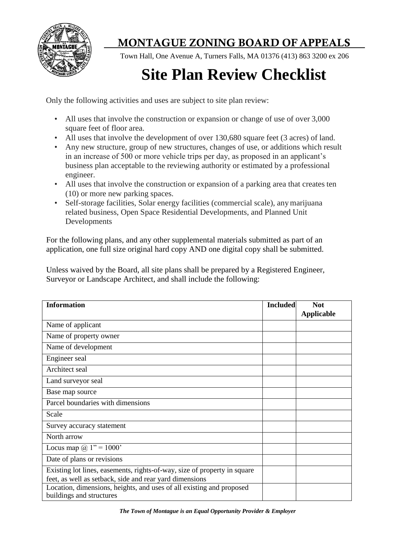

Town Hall, One Avenue A, Turners Falls, MA 01376 (413) 863 3200 ex 206

# **Site Plan Review Checklist**

Only the following activities and uses are subject to site plan review:

- All uses that involve the construction or expansion or change of use of over 3,000 square feet of floor area.
- All uses that involve the development of over 130,680 square feet (3 acres) of land.
- Any new structure, group of new structures, changes of use, or additions which result in an increase of 500 or more vehicle trips per day, as proposed in an applicant's business plan acceptable to the reviewing authority or estimated by a professional engineer.
- All uses that involve the construction or expansion of a parking area that creates ten (10) or more new parking spaces.
- Self-storage facilities, Solar energy facilities (commercial scale), anymarijuana related business, Open Space Residential Developments, and Planned Unit Developments

For the following plans, and any other supplemental materials submitted as part of an application, one full size original hard copy AND one digital copy shall be submitted.

Unless waived by the Board, all site plans shall be prepared by a Registered Engineer, Surveyor or Landscape Architect, and shall include the following:

| <b>Information</b>                                                                                                                  | <b>Included</b> | <b>Not</b><br><b>Applicable</b> |
|-------------------------------------------------------------------------------------------------------------------------------------|-----------------|---------------------------------|
| Name of applicant                                                                                                                   |                 |                                 |
| Name of property owner                                                                                                              |                 |                                 |
| Name of development                                                                                                                 |                 |                                 |
| Engineer seal                                                                                                                       |                 |                                 |
| Architect seal                                                                                                                      |                 |                                 |
| Land surveyor seal                                                                                                                  |                 |                                 |
| Base map source                                                                                                                     |                 |                                 |
| Parcel boundaries with dimensions                                                                                                   |                 |                                 |
| Scale                                                                                                                               |                 |                                 |
| Survey accuracy statement                                                                                                           |                 |                                 |
| North arrow                                                                                                                         |                 |                                 |
| Locus map $@ 1" = 1000"$                                                                                                            |                 |                                 |
| Date of plans or revisions                                                                                                          |                 |                                 |
| Existing lot lines, easements, rights-of-way, size of property in square<br>feet, as well as setback, side and rear yard dimensions |                 |                                 |
| Location, dimensions, heights, and uses of all existing and proposed<br>buildings and structures                                    |                 |                                 |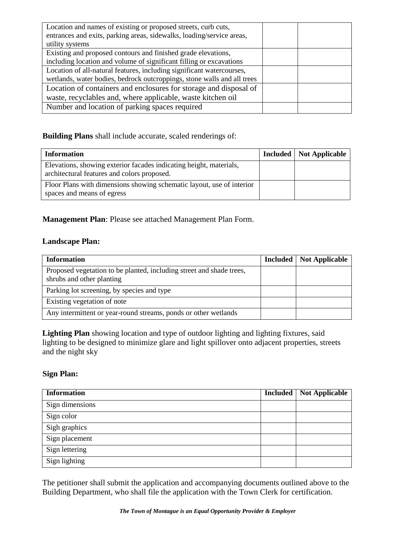| Location and names of existing or proposed streets, curb cuts,          |  |
|-------------------------------------------------------------------------|--|
| entrances and exits, parking areas, sidewalks, loading/service areas,   |  |
| utility systems                                                         |  |
| Existing and proposed contours and finished grade elevations,           |  |
| including location and volume of significant filling or excavations     |  |
| Location of all-natural features, including significant watercourses,   |  |
| wetlands, water bodies, bedrock outcroppings, stone walls and all trees |  |
| Location of containers and enclosures for storage and disposal of       |  |
| waste, recyclables and, where applicable, waste kitchen oil             |  |
| Number and location of parking spaces required                          |  |

**Building Plans** shall include accurate, scaled renderings of:

| <b>Information</b>                                                                                                | Included   Not Applicable |
|-------------------------------------------------------------------------------------------------------------------|---------------------------|
| Elevations, showing exterior facades indicating height, materials,<br>architectural features and colors proposed. |                           |
| Floor Plans with dimensions showing schematic layout, use of interior<br>spaces and means of egress               |                           |

### **Management Plan**: Please see attached Management Plan Form.

### **Landscape Plan:**

| <b>Information</b>                                                                                | <b>Included</b> | <b>Not Applicable</b> |
|---------------------------------------------------------------------------------------------------|-----------------|-----------------------|
| Proposed vegetation to be planted, including street and shade trees,<br>shrubs and other planting |                 |                       |
| Parking lot screening, by species and type                                                        |                 |                       |
| Existing vegetation of note                                                                       |                 |                       |
| Any intermittent or year-round streams, ponds or other wetlands                                   |                 |                       |

**Lighting Plan** showing location and type of outdoor lighting and lighting fixtures, said lighting to be designed to minimize glare and light spillover onto adjacent properties, streets and the night sky

### **Sign Plan:**

| <b>Information</b> | <b>Included</b> Not Applicable |
|--------------------|--------------------------------|
| Sign dimensions    |                                |
| Sign color         |                                |
| Sigh graphics      |                                |
| Sign placement     |                                |
| Sign lettering     |                                |
| Sign lighting      |                                |

The petitioner shall submit the application and accompanying documents outlined above to the Building Department, who shall file the application with the Town Clerk for certification.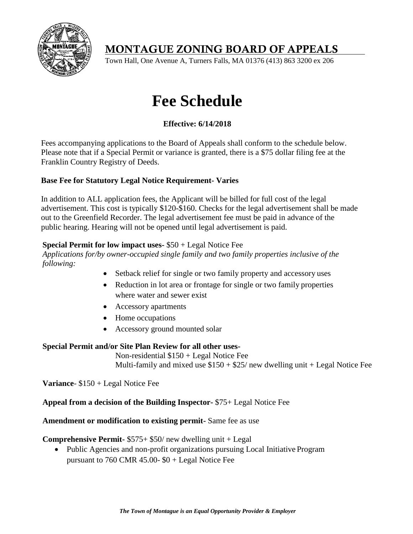

Town Hall, One Avenue A, Turners Falls, MA 01376 (413) 863 3200 ex 206

# **Fee Schedule**

## **Effective: 6/14/2018**

Fees accompanying applications to the Board of Appeals shall conform to the schedule below. Please note that if a Special Permit or variance is granted, there is a \$75 dollar filing fee at the Franklin Country Registry of Deeds.

### **Base Fee for Statutory Legal Notice Requirement- Varies**

In addition to ALL application fees, the Applicant will be billed for full cost of the legal advertisement. This cost is typically \$120-\$160. Checks for the legal advertisement shall be made out to the Greenfield Recorder. The legal advertisement fee must be paid in advance of the public hearing. Hearing will not be opened until legal advertisement is paid.

### **Special Permit for low impact uses-** \$50 + Legal Notice Fee

*Applications for/by owner-occupied single family and two family properties inclusive of the following:*

- Setback relief for single or two family property and accessory uses
- Reduction in lot area or frontage for single or two family properties where water and sewer exist
- Accessory apartments
- Home occupations
- Accessory ground mounted solar

### **Special Permit and/or Site Plan Review for all other uses-**

Non-residential \$150 + Legal Notice Fee Multi-family and mixed use  $$150 + $25/$  new dwelling unit + Legal Notice Fee

**Variance**- \$150 + Legal Notice Fee

**Appeal from a decision of the Building Inspector-** \$75+ Legal Notice Fee

**Amendment or modification to existing permit-** Same fee as use

### **Comprehensive Permit-** \$575+ \$50/ new dwelling unit + Legal

 Public Agencies and non-profit organizations pursuing Local Initiative Program pursuant to 760 CMR 45.00- $$0 + Legal$  Notice Fee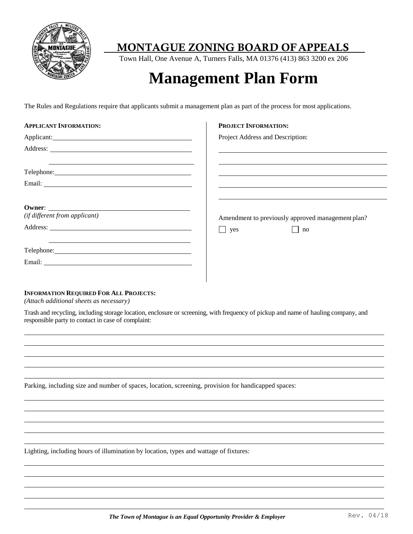

Town Hall, One Avenue A, Turners Falls, MA 01376 (413) 863 3200 ex 206

# **Management Plan Form**

The Rules and Regulations require that applicants submit a management plan as part of the process for most applications.

| <b>APPLICANT INFORMATION:</b>                                                                                                                                                                                                       | <b>PROJECT INFORMATION:</b>                                                                                          |
|-------------------------------------------------------------------------------------------------------------------------------------------------------------------------------------------------------------------------------------|----------------------------------------------------------------------------------------------------------------------|
| Applicant: <u>example</u> and the contract of the contract of the contract of the contract of the contract of the contract of the contract of the contract of the contract of the contract of the contract of the contract of the c | Project Address and Description:                                                                                     |
|                                                                                                                                                                                                                                     | <u> 1980 - Jan James Santan, masjid a shekara ta 1980 a shekara ta 1980 a shekara ta 1980 a shekara ta 1980 a sh</u> |
| <u> 1980 - Andrea Andrea Andrea Andrea Andrea Andrea Andrea Andrea Andrea Andrea Andrea Andrea Andrea Andrea Andr</u>                                                                                                               |                                                                                                                      |
|                                                                                                                                                                                                                                     |                                                                                                                      |
|                                                                                                                                                                                                                                     |                                                                                                                      |
|                                                                                                                                                                                                                                     |                                                                                                                      |
| Owner:                                                                                                                                                                                                                              |                                                                                                                      |
| (if different from applicant)                                                                                                                                                                                                       | Amendment to previously approved management plan?                                                                    |
|                                                                                                                                                                                                                                     | yes<br>$\ln$                                                                                                         |
| Telephone: Note and the set of the set of the set of the set of the set of the set of the set of the set of the set of the set of the set of the set of the set of the set of the set of the set of the set of the set of the       |                                                                                                                      |
|                                                                                                                                                                                                                                     |                                                                                                                      |

#### **INFORMATION REQUIRED FOR ALL PROJECTS:**

*(Attach additional sheets as necessary)*

Trash and recycling, including storage location, enclosure or screening, with frequency of pickup and name of hauling company, and responsible party to contact in case of complaint:

Parking, including size and number of spaces, location, screening, provision for handicapped spaces:

Lighting, including hours of illumination by location, types and wattage of fixtures: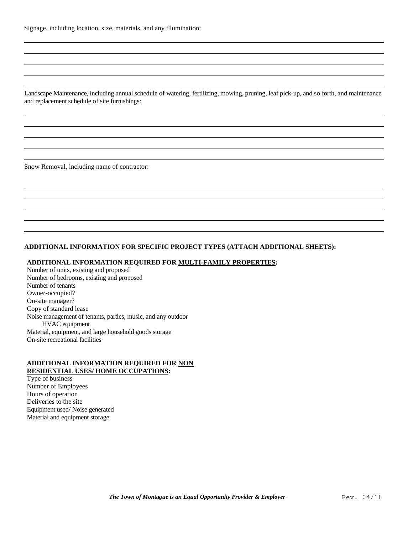Landscape Maintenance, including annual schedule of watering, fertilizing, mowing, pruning, leaf pick-up, and so forth, and maintenance and replacement schedule of site furnishings:

Snow Removal, including name of contractor:

#### **ADDITIONAL INFORMATION FOR SPECIFIC PROJECT TYPES (ATTACH ADDITIONAL SHEETS):**

#### **ADDITIONAL INFORMATION REQUIRED FOR MULTI-FAMILY PROPERTIES:**

Number of units, existing and proposed Number of bedrooms, existing and proposed Number of tenants Owner-occupied? On-site manager? Copy of standard lease Noise management of tenants, parties, music, and any outdoor HVAC equipment Material, equipment, and large household goods storage On-site recreational facilities

#### **ADDITIONAL INFORMATION REQUIRED FOR NON RESIDENTIAL USES/ HOME OCCUPATIONS:**

Type of business Number of Employees Hours of operation Deliveries to the site Equipment used/ Noise generated Material and equipment storage